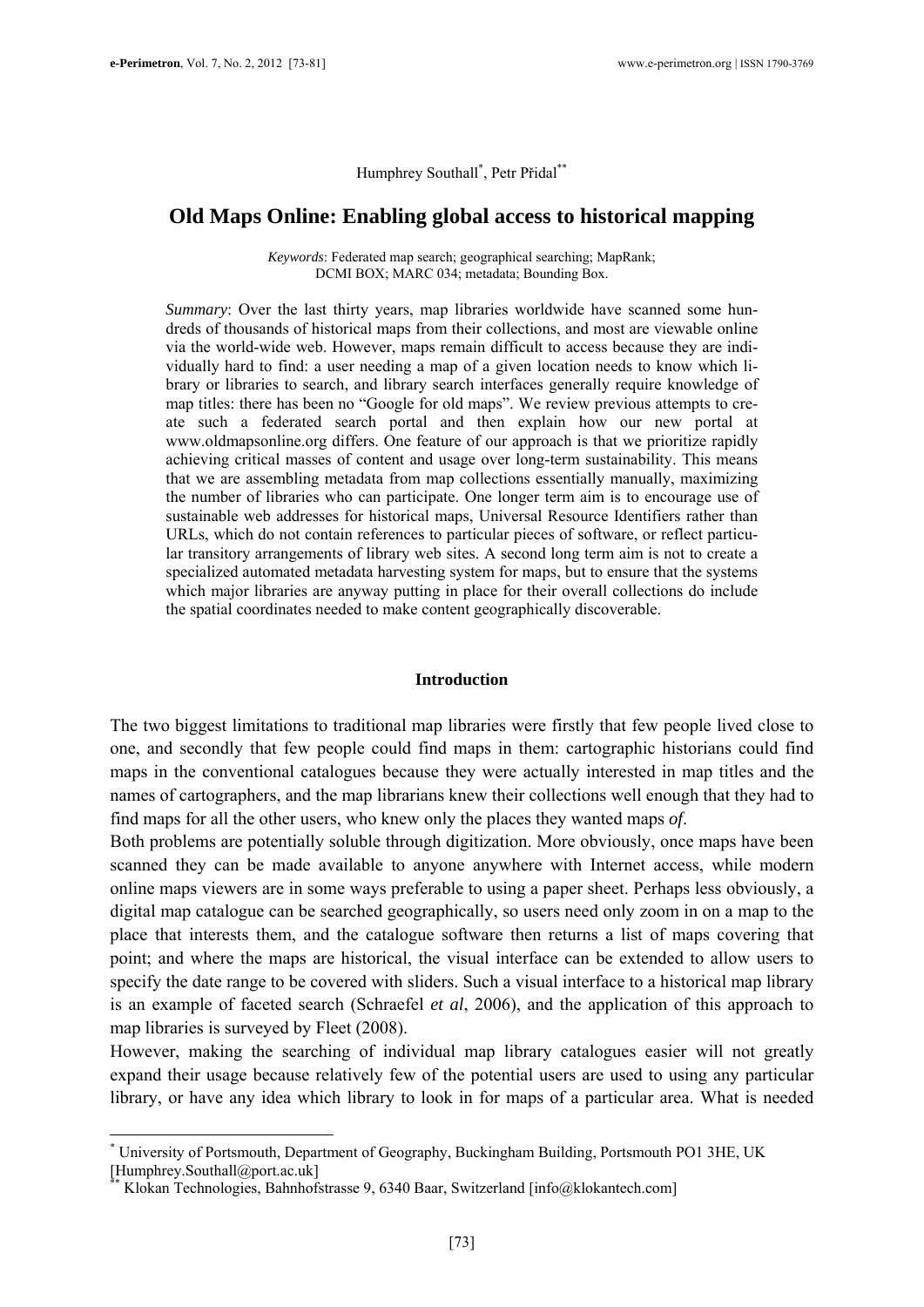Humphrey Southall<sup>\*</sup>, Petr Přidal<sup>\*\*</sup>

## **Old Maps Online: Enabling global access to historical mapping**

*Keywords*: Federated map search; geographical searching; MapRank; DCMI BOX; MARC 034; metadata; Bounding Box.

*Summary*: Over the last thirty years, map libraries worldwide have scanned some hundreds of thousands of historical maps from their collections, and most are viewable online via the world-wide web. However, maps remain difficult to access because they are individually hard to find: a user needing a map of a given location needs to know which library or libraries to search, and library search interfaces generally require knowledge of map titles: there has been no "Google for old maps". We review previous attempts to create such a federated search portal and then explain how our new portal at www.oldmapsonline.org differs. One feature of our approach is that we prioritize rapidly achieving critical masses of content and usage over long-term sustainability. This means that we are assembling metadata from map collections essentially manually, maximizing the number of libraries who can participate. One longer term aim is to encourage use of sustainable web addresses for historical maps, Universal Resource Identifiers rather than URLs, which do not contain references to particular pieces of software, or reflect particular transitory arrangements of library web sites. A second long term aim is not to create a specialized automated metadata harvesting system for maps, but to ensure that the systems which major libraries are anyway putting in place for their overall collections do include the spatial coordinates needed to make content geographically discoverable.

#### **Introduction**

The two biggest limitations to traditional map libraries were firstly that few people lived close to one, and secondly that few people could find maps in them: cartographic historians could find maps in the conventional catalogues because they were actually interested in map titles and the names of cartographers, and the map librarians knew their collections well enough that they had to find maps for all the other users, who knew only the places they wanted maps *of*.

Both problems are potentially soluble through digitization. More obviously, once maps have been scanned they can be made available to anyone anywhere with Internet access, while modern online maps viewers are in some ways preferable to using a paper sheet. Perhaps less obviously, a digital map catalogue can be searched geographically, so users need only zoom in on a map to the place that interests them, and the catalogue software then returns a list of maps covering that point; and where the maps are historical, the visual interface can be extended to allow users to specify the date range to be covered with sliders. Such a visual interface to a historical map library is an example of faceted search (Schraefel *et al*, 2006), and the application of this approach to map libraries is surveyed by Fleet (2008).

However, making the searching of individual map library catalogues easier will not greatly expand their usage because relatively few of the potential users are used to using any particular library, or have any idea which library to look in for maps of a particular area. What is needed

1

<sup>\*</sup> University of Portsmouth, Department of Geography, Buckingham Building, Portsmouth PO1 3HE, UK [Humphrey.Southall@port.ac.uk]

Klokan Technologies, Bahnhofstrasse 9, 6340 Baar, Switzerland [info@klokantech.com]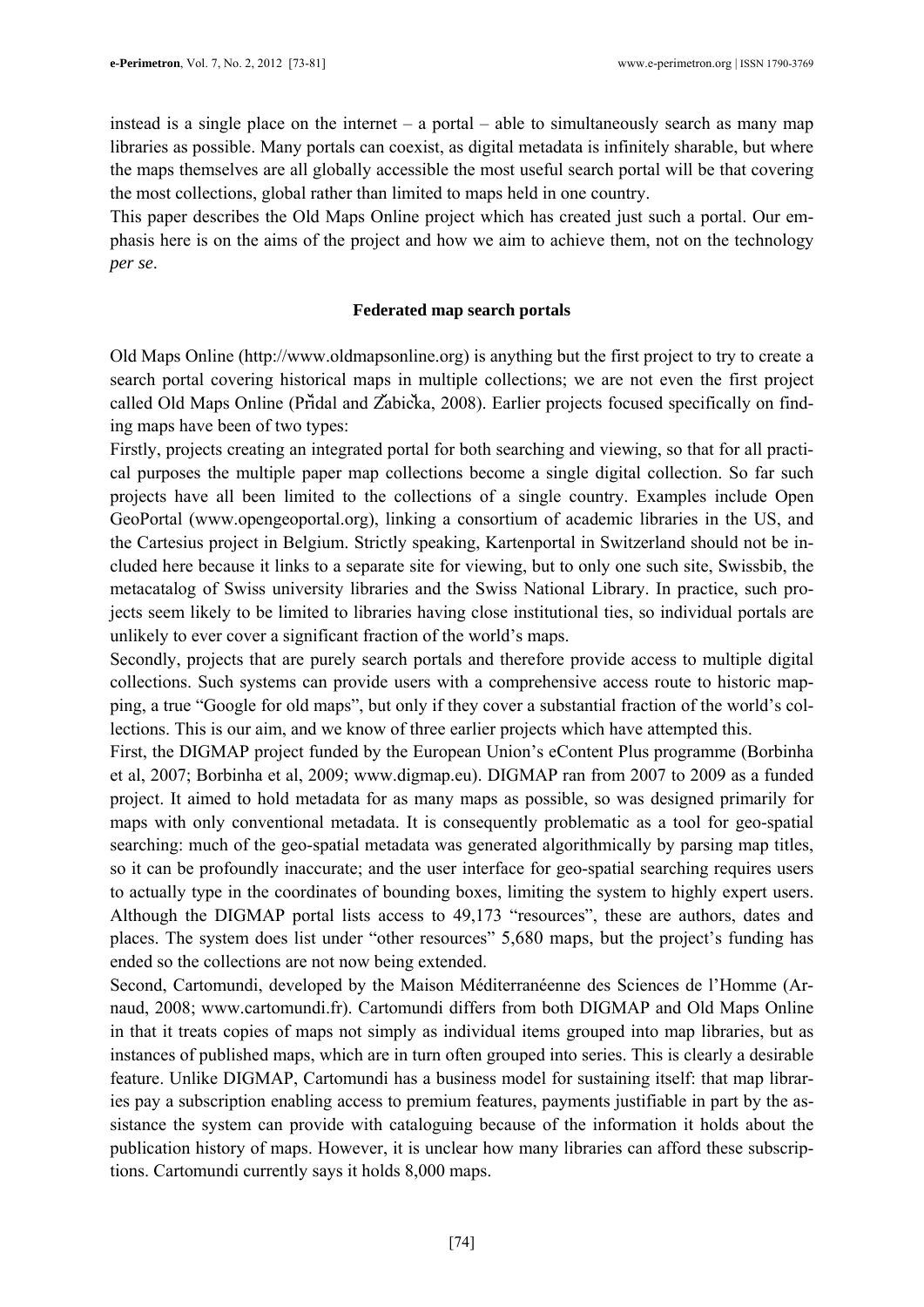instead is a single place on the internet – a portal – able to simultaneously search as many map libraries as possible. Many portals can coexist, as digital metadata is infinitely sharable, but where the maps themselves are all globally accessible the most useful search portal will be that covering the most collections, global rather than limited to maps held in one country.

This paper describes the Old Maps Online project which has created just such a portal. Our emphasis here is on the aims of the project and how we aim to achieve them, not on the technology *per se*.

#### **Federated map search portals**

Old Maps Online (http://www.oldmapsonline.org) is anything but the first project to try to create a search portal covering historical maps in multiple collections; we are not even the first project called Old Maps Online (Pridal and Zabicka, 2008). Earlier projects focused specifically on finding maps have been of two types:

Firstly, projects creating an integrated portal for both searching and viewing, so that for all practical purposes the multiple paper map collections become a single digital collection. So far such projects have all been limited to the collections of a single country. Examples include Open GeoPortal (www.opengeoportal.org), linking a consortium of academic libraries in the US, and the Cartesius project in Belgium. Strictly speaking, Kartenportal in Switzerland should not be included here because it links to a separate site for viewing, but to only one such site, Swissbib, the metacatalog of Swiss university libraries and the Swiss National Library. In practice, such projects seem likely to be limited to libraries having close institutional ties, so individual portals are unlikely to ever cover a significant fraction of the world's maps.

Secondly, projects that are purely search portals and therefore provide access to multiple digital collections. Such systems can provide users with a comprehensive access route to historic mapping, a true "Google for old maps", but only if they cover a substantial fraction of the world's collections. This is our aim, and we know of three earlier projects which have attempted this.

First, the DIGMAP project funded by the European Union's eContent Plus programme (Borbinha et al, 2007; Borbinha et al, 2009; www.digmap.eu). DIGMAP ran from 2007 to 2009 as a funded project. It aimed to hold metadata for as many maps as possible, so was designed primarily for maps with only conventional metadata. It is consequently problematic as a tool for geo-spatial searching: much of the geo-spatial metadata was generated algorithmically by parsing map titles, so it can be profoundly inaccurate; and the user interface for geo-spatial searching requires users to actually type in the coordinates of bounding boxes, limiting the system to highly expert users. Although the DIGMAP portal lists access to 49,173 "resources", these are authors, dates and places. The system does list under "other resources" 5,680 maps, but the project's funding has ended so the collections are not now being extended.

Second, Cartomundi, developed by the Maison Méditerranéenne des Sciences de l'Homme (Arnaud, 2008; www.cartomundi.fr). Cartomundi differs from both DIGMAP and Old Maps Online in that it treats copies of maps not simply as individual items grouped into map libraries, but as instances of published maps, which are in turn often grouped into series. This is clearly a desirable feature. Unlike DIGMAP, Cartomundi has a business model for sustaining itself: that map libraries pay a subscription enabling access to premium features, payments justifiable in part by the assistance the system can provide with cataloguing because of the information it holds about the publication history of maps. However, it is unclear how many libraries can afford these subscriptions. Cartomundi currently says it holds 8,000 maps.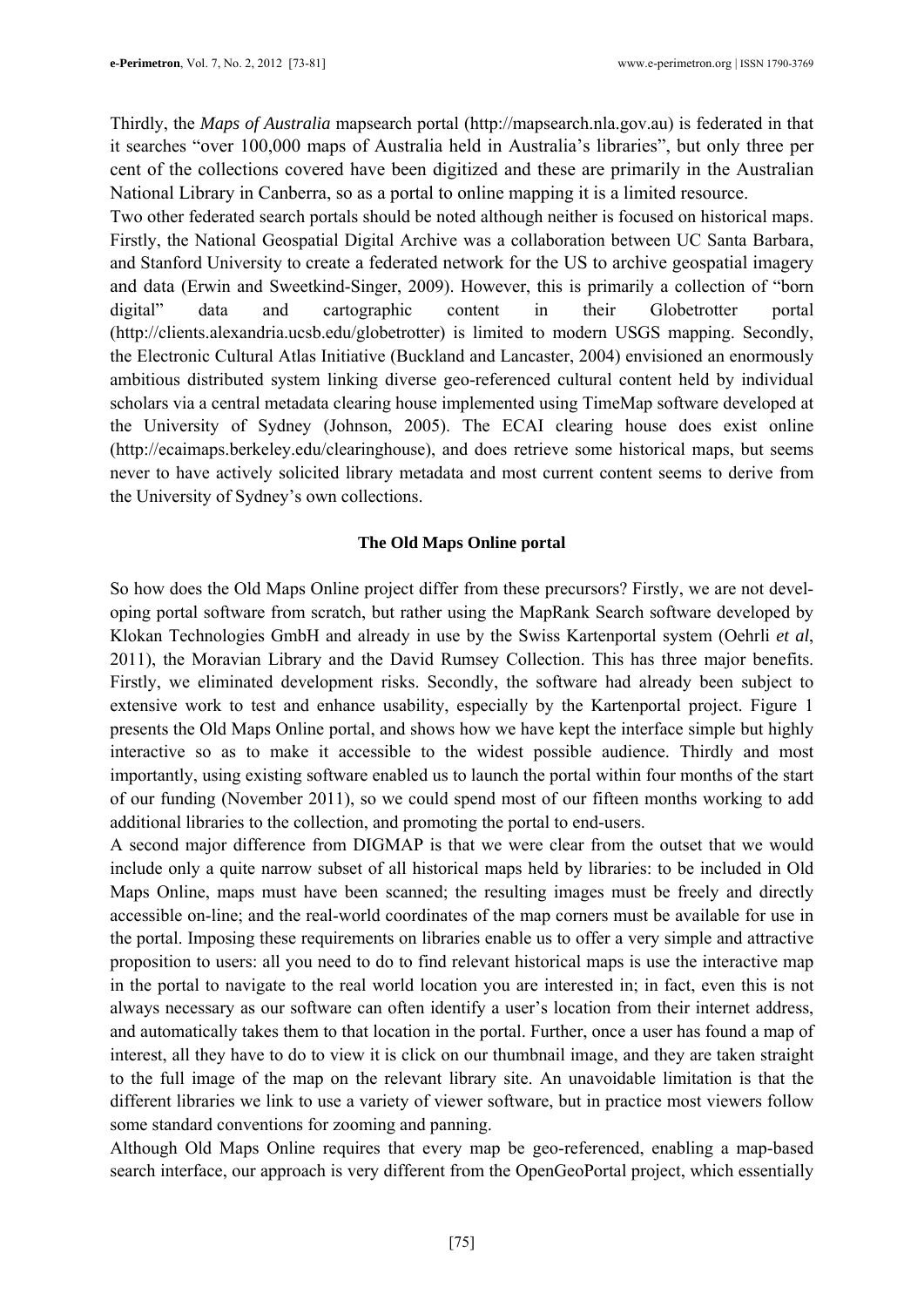Thirdly, the *Maps of Australia* mapsearch portal (http://mapsearch.nla.gov.au) is federated in that it searches "over 100,000 maps of Australia held in Australia's libraries", but only three per cent of the collections covered have been digitized and these are primarily in the Australian National Library in Canberra, so as a portal to online mapping it is a limited resource.

Two other federated search portals should be noted although neither is focused on historical maps. Firstly, the National Geospatial Digital Archive was a collaboration between UC Santa Barbara, and Stanford University to create a federated network for the US to archive geospatial imagery and data (Erwin and Sweetkind-Singer, 2009). However, this is primarily a collection of "born digital" data and cartographic content in their Globetrotter portal (http://clients.alexandria.ucsb.edu/globetrotter) is limited to modern USGS mapping. Secondly, the Electronic Cultural Atlas Initiative (Buckland and Lancaster, 2004) envisioned an enormously ambitious distributed system linking diverse geo-referenced cultural content held by individual scholars via a central metadata clearing house implemented using TimeMap software developed at the University of Sydney (Johnson, 2005). The ECAI clearing house does exist online (http://ecaimaps.berkeley.edu/clearinghouse), and does retrieve some historical maps, but seems never to have actively solicited library metadata and most current content seems to derive from the University of Sydney's own collections.

### **The Old Maps Online portal**

So how does the Old Maps Online project differ from these precursors? Firstly, we are not developing portal software from scratch, but rather using the MapRank Search software developed by Klokan Technologies GmbH and already in use by the Swiss Kartenportal system (Oehrli *et al*, 2011), the Moravian Library and the David Rumsey Collection. This has three major benefits. Firstly, we eliminated development risks. Secondly, the software had already been subject to extensive work to test and enhance usability, especially by the Kartenportal project. Figure 1 presents the Old Maps Online portal, and shows how we have kept the interface simple but highly interactive so as to make it accessible to the widest possible audience. Thirdly and most importantly, using existing software enabled us to launch the portal within four months of the start of our funding (November 2011), so we could spend most of our fifteen months working to add additional libraries to the collection, and promoting the portal to end-users.

A second major difference from DIGMAP is that we were clear from the outset that we would include only a quite narrow subset of all historical maps held by libraries: to be included in Old Maps Online, maps must have been scanned; the resulting images must be freely and directly accessible on-line; and the real-world coordinates of the map corners must be available for use in the portal. Imposing these requirements on libraries enable us to offer a very simple and attractive proposition to users: all you need to do to find relevant historical maps is use the interactive map in the portal to navigate to the real world location you are interested in; in fact, even this is not always necessary as our software can often identify a user's location from their internet address, and automatically takes them to that location in the portal. Further, once a user has found a map of interest, all they have to do to view it is click on our thumbnail image, and they are taken straight to the full image of the map on the relevant library site. An unavoidable limitation is that the different libraries we link to use a variety of viewer software, but in practice most viewers follow some standard conventions for zooming and panning.

Although Old Maps Online requires that every map be geo-referenced, enabling a map-based search interface, our approach is very different from the OpenGeoPortal project, which essentially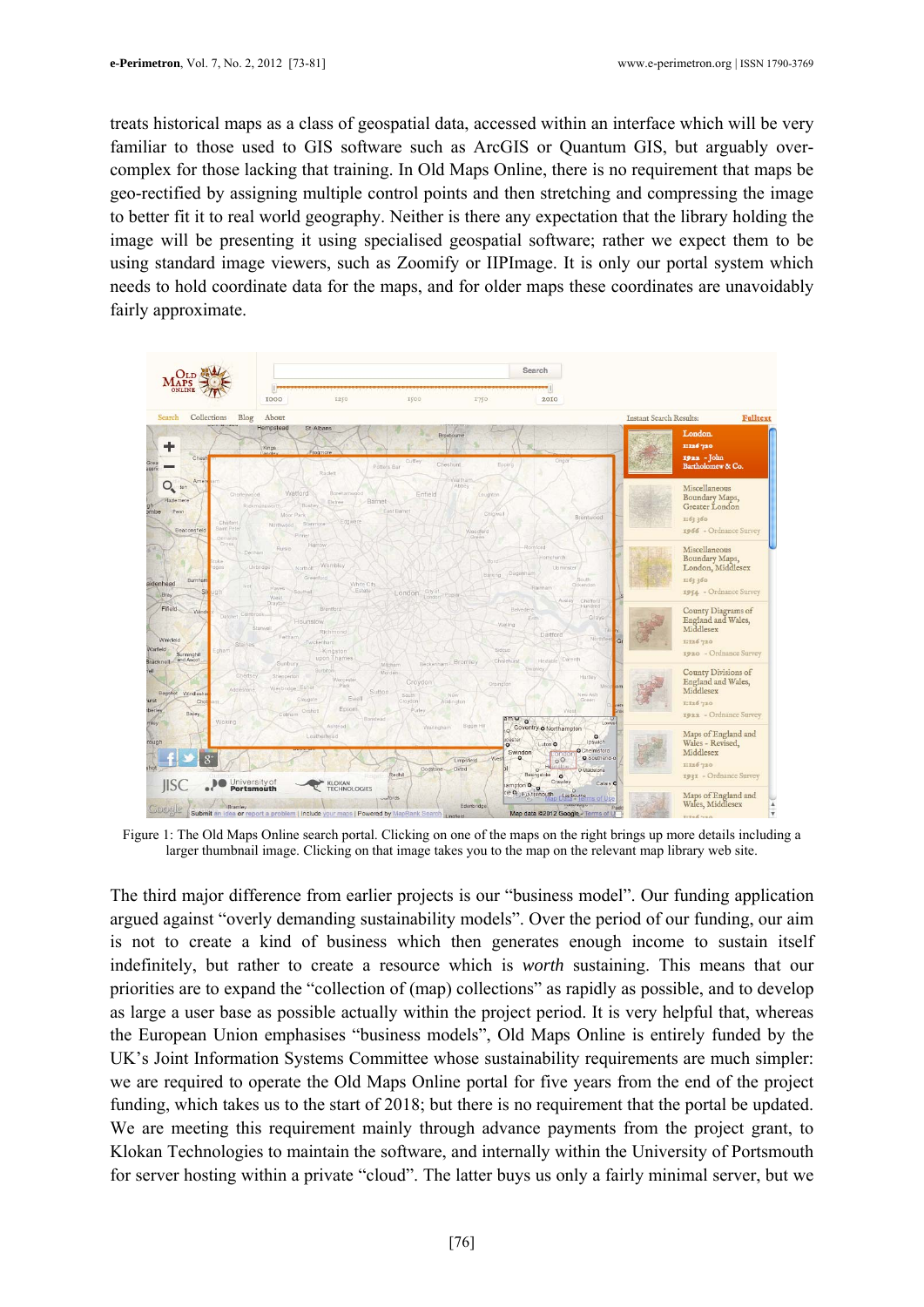treats historical maps as a class of geospatial data, accessed within an interface which will be very familiar to those used to GIS software such as ArcGIS or Quantum GIS, but arguably overcomplex for those lacking that training. In Old Maps Online, there is no requirement that maps be geo-rectified by assigning multiple control points and then stretching and compressing the image to better fit it to real world geography. Neither is there any expectation that the library holding the image will be presenting it using specialised geospatial software; rather we expect them to be using standard image viewers, such as Zoomify or IIPImage. It is only our portal system which needs to hold coordinate data for the maps, and for older maps these coordinates are unavoidably fairly approximate.



Figure 1: The Old Maps Online search portal. Clicking on one of the maps on the right brings up more details including a larger thumbnail image. Clicking on that image takes you to the map on the relevant map library web site.

The third major difference from earlier projects is our "business model". Our funding application argued against "overly demanding sustainability models". Over the period of our funding, our aim is not to create a kind of business which then generates enough income to sustain itself indefinitely, but rather to create a resource which is *worth* sustaining. This means that our priorities are to expand the "collection of (map) collections" as rapidly as possible, and to develop as large a user base as possible actually within the project period. It is very helpful that, whereas the European Union emphasises "business models", Old Maps Online is entirely funded by the UK's Joint Information Systems Committee whose sustainability requirements are much simpler: we are required to operate the Old Maps Online portal for five years from the end of the project funding, which takes us to the start of 2018; but there is no requirement that the portal be updated. We are meeting this requirement mainly through advance payments from the project grant, to Klokan Technologies to maintain the software, and internally within the University of Portsmouth for server hosting within a private "cloud". The latter buys us only a fairly minimal server, but we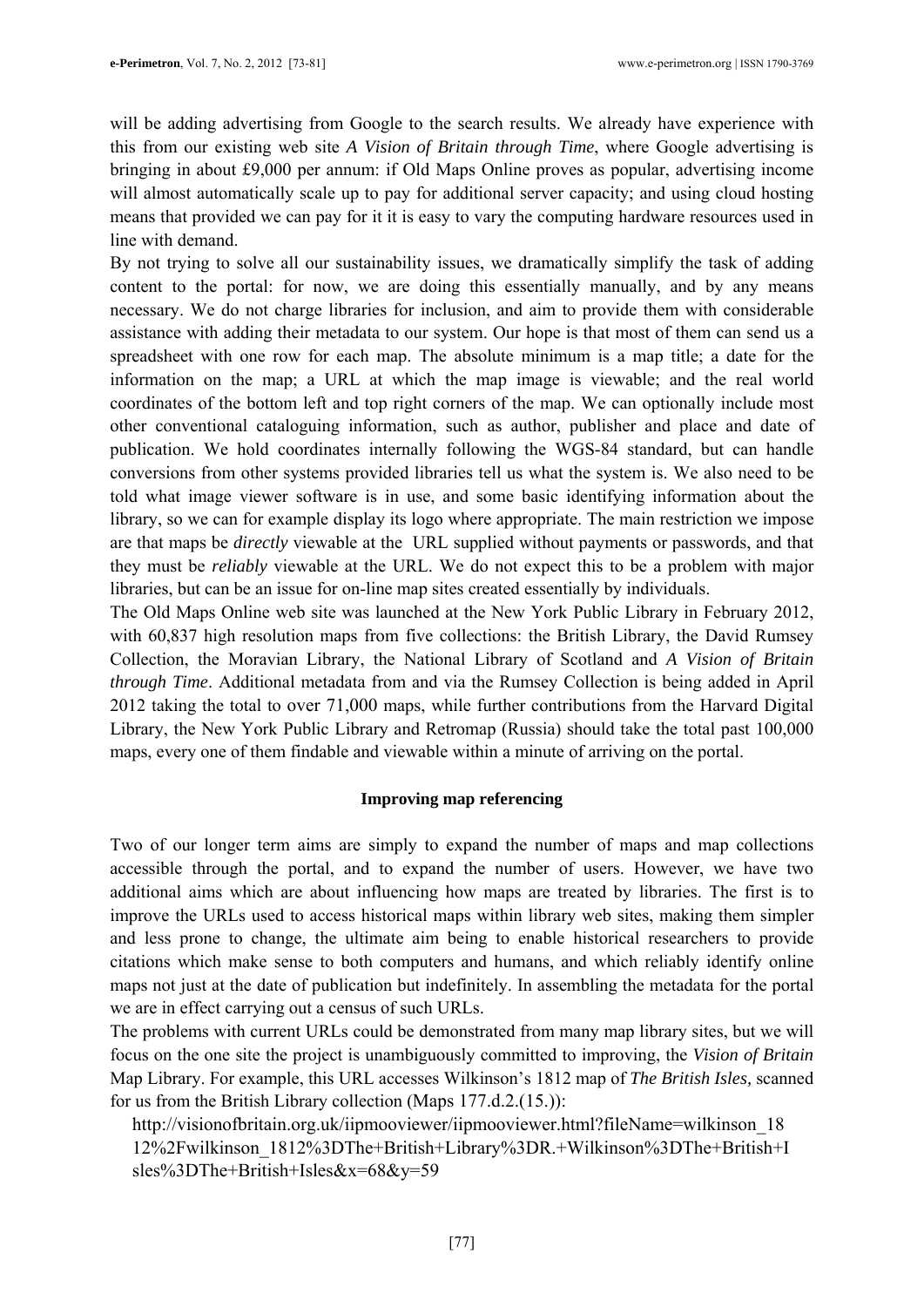will be adding advertising from Google to the search results. We already have experience with this from our existing web site *A Vision of Britain through Time*, where Google advertising is bringing in about £9,000 per annum: if Old Maps Online proves as popular, advertising income will almost automatically scale up to pay for additional server capacity; and using cloud hosting means that provided we can pay for it it is easy to vary the computing hardware resources used in line with demand.

By not trying to solve all our sustainability issues, we dramatically simplify the task of adding content to the portal: for now, we are doing this essentially manually, and by any means necessary. We do not charge libraries for inclusion, and aim to provide them with considerable assistance with adding their metadata to our system. Our hope is that most of them can send us a spreadsheet with one row for each map. The absolute minimum is a map title; a date for the information on the map; a URL at which the map image is viewable; and the real world coordinates of the bottom left and top right corners of the map. We can optionally include most other conventional cataloguing information, such as author, publisher and place and date of publication. We hold coordinates internally following the WGS-84 standard, but can handle conversions from other systems provided libraries tell us what the system is. We also need to be told what image viewer software is in use, and some basic identifying information about the library, so we can for example display its logo where appropriate. The main restriction we impose are that maps be *directly* viewable at the URL supplied without payments or passwords, and that they must be *reliably* viewable at the URL. We do not expect this to be a problem with major libraries, but can be an issue for on-line map sites created essentially by individuals.

The Old Maps Online web site was launched at the New York Public Library in February 2012, with 60,837 high resolution maps from five collections: the British Library, the David Rumsey Collection, the Moravian Library, the National Library of Scotland and *A Vision of Britain through Time*. Additional metadata from and via the Rumsey Collection is being added in April 2012 taking the total to over 71,000 maps, while further contributions from the Harvard Digital Library, the New York Public Library and Retromap (Russia) should take the total past 100,000 maps, every one of them findable and viewable within a minute of arriving on the portal.

### **Improving map referencing**

Two of our longer term aims are simply to expand the number of maps and map collections accessible through the portal, and to expand the number of users. However, we have two additional aims which are about influencing how maps are treated by libraries. The first is to improve the URLs used to access historical maps within library web sites, making them simpler and less prone to change, the ultimate aim being to enable historical researchers to provide citations which make sense to both computers and humans, and which reliably identify online maps not just at the date of publication but indefinitely. In assembling the metadata for the portal we are in effect carrying out a census of such URLs.

The problems with current URLs could be demonstrated from many map library sites, but we will focus on the one site the project is unambiguously committed to improving, the *Vision of Britain* Map Library. For example, this URL accesses Wilkinson's 1812 map of *The British Isles,* scanned for us from the British Library collection (Maps 177.d.2.(15.)):

http://visionofbritain.org.uk/iipmooviewer/iipmooviewer.html?fileName=wilkinson\_18 12%2Fwilkinson\_1812%3DThe+British+Library%3DR.+Wilkinson%3DThe+British+I sles%3DThe+British+Isles&x=68&y=59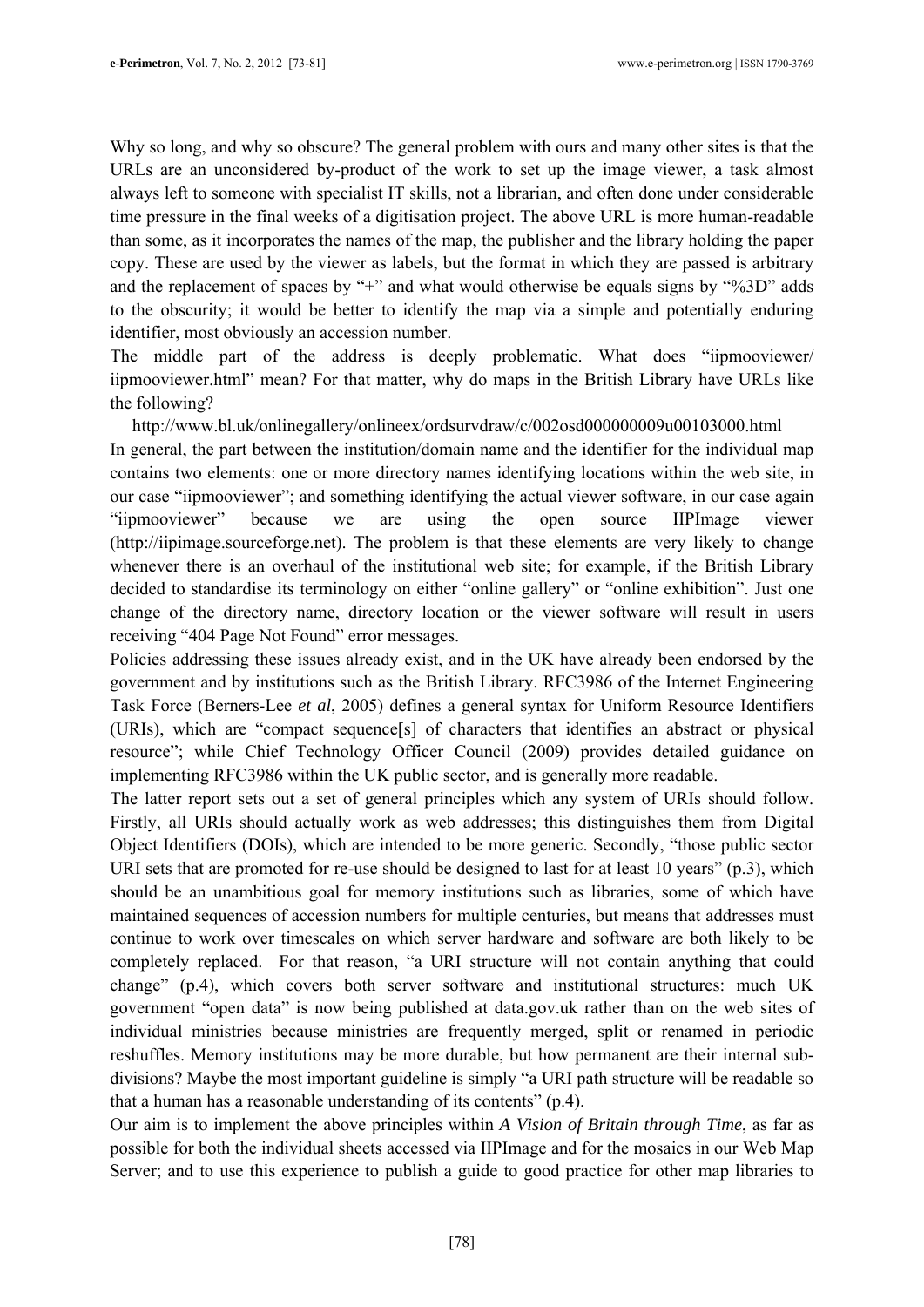Why so long, and why so obscure? The general problem with ours and many other sites is that the URLs are an unconsidered by-product of the work to set up the image viewer, a task almost always left to someone with specialist IT skills, not a librarian, and often done under considerable time pressure in the final weeks of a digitisation project. The above URL is more human-readable than some, as it incorporates the names of the map, the publisher and the library holding the paper copy. These are used by the viewer as labels, but the format in which they are passed is arbitrary and the replacement of spaces by "+" and what would otherwise be equals signs by "%3D" adds to the obscurity; it would be better to identify the map via a simple and potentially enduring identifier, most obviously an accession number.

The middle part of the address is deeply problematic. What does "iipmooviewer/ iipmooviewer.html" mean? For that matter, why do maps in the British Library have URLs like the following?

http://www.bl.uk/onlinegallery/onlineex/ordsurvdraw/c/002osd000000009u00103000.html In general, the part between the institution/domain name and the identifier for the individual map contains two elements: one or more directory names identifying locations within the web site, in our case "iipmooviewer"; and something identifying the actual viewer software, in our case again "iipmooviewer" because we are using the open source IIPImage viewer (http://iipimage.sourceforge.net). The problem is that these elements are very likely to change whenever there is an overhaul of the institutional web site; for example, if the British Library decided to standardise its terminology on either "online gallery" or "online exhibition". Just one change of the directory name, directory location or the viewer software will result in users receiving "404 Page Not Found" error messages.

Policies addressing these issues already exist, and in the UK have already been endorsed by the government and by institutions such as the British Library. RFC3986 of the Internet Engineering Task Force (Berners-Lee *et al*, 2005) defines a general syntax for Uniform Resource Identifiers (URIs), which are "compact sequence[s] of characters that identifies an abstract or physical resource"; while Chief Technology Officer Council (2009) provides detailed guidance on implementing RFC3986 within the UK public sector, and is generally more readable.

The latter report sets out a set of general principles which any system of URIs should follow. Firstly, all URIs should actually work as web addresses; this distinguishes them from Digital Object Identifiers (DOIs), which are intended to be more generic. Secondly, "those public sector URI sets that are promoted for re-use should be designed to last for at least 10 years" (p.3), which should be an unambitious goal for memory institutions such as libraries, some of which have maintained sequences of accession numbers for multiple centuries, but means that addresses must continue to work over timescales on which server hardware and software are both likely to be completely replaced. For that reason, "a URI structure will not contain anything that could change" (p.4), which covers both server software and institutional structures: much UK government "open data" is now being published at data.gov.uk rather than on the web sites of individual ministries because ministries are frequently merged, split or renamed in periodic reshuffles. Memory institutions may be more durable, but how permanent are their internal subdivisions? Maybe the most important guideline is simply "a URI path structure will be readable so that a human has a reasonable understanding of its contents" (p.4).

Our aim is to implement the above principles within *A Vision of Britain through Time*, as far as possible for both the individual sheets accessed via IIPImage and for the mosaics in our Web Map Server; and to use this experience to publish a guide to good practice for other map libraries to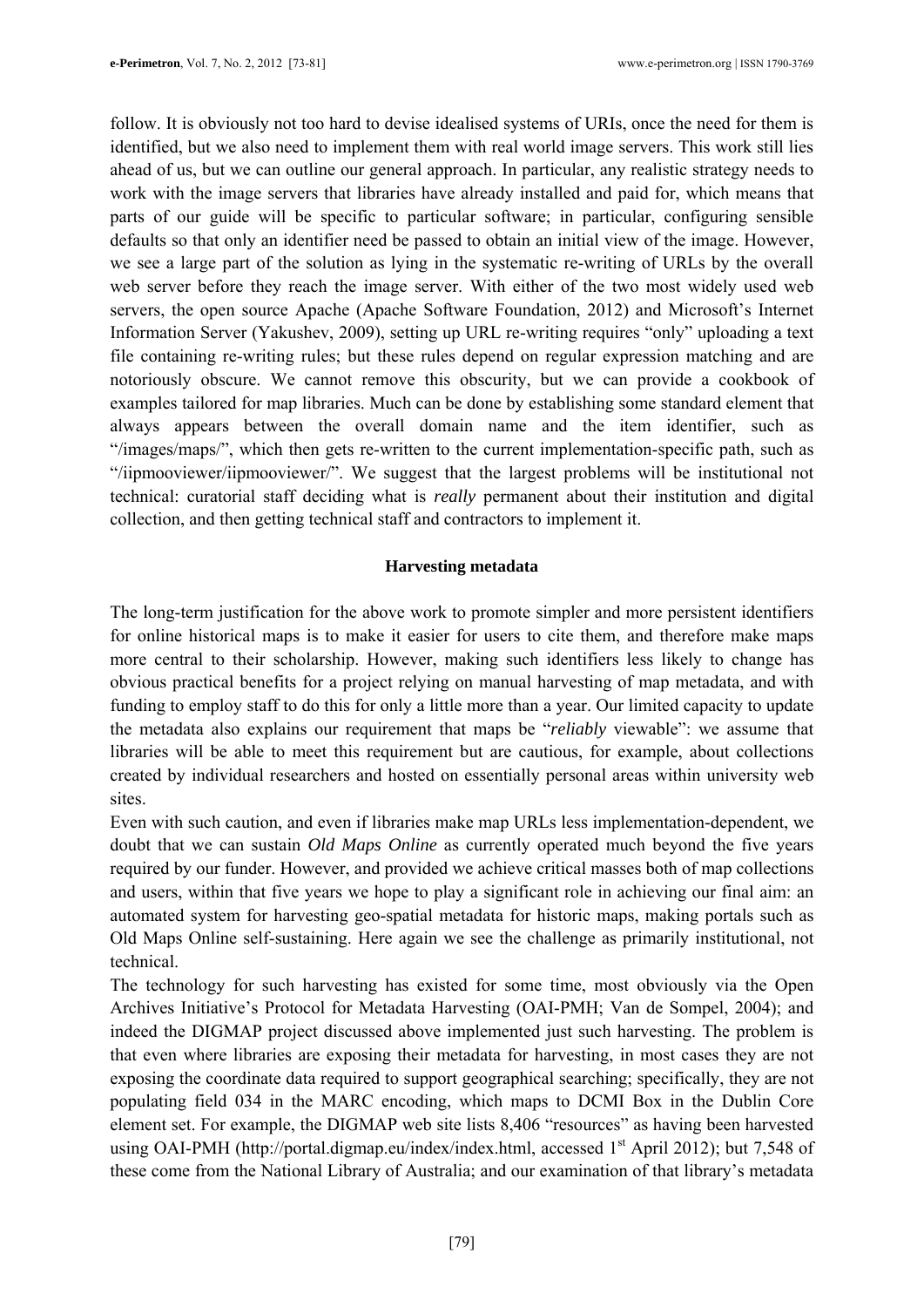follow. It is obviously not too hard to devise idealised systems of URIs, once the need for them is identified, but we also need to implement them with real world image servers. This work still lies ahead of us, but we can outline our general approach. In particular, any realistic strategy needs to work with the image servers that libraries have already installed and paid for, which means that parts of our guide will be specific to particular software; in particular, configuring sensible defaults so that only an identifier need be passed to obtain an initial view of the image. However, we see a large part of the solution as lying in the systematic re-writing of URLs by the overall web server before they reach the image server. With either of the two most widely used web servers, the open source Apache (Apache Software Foundation, 2012) and Microsoft's Internet Information Server (Yakushev, 2009), setting up URL re-writing requires "only" uploading a text file containing re-writing rules; but these rules depend on regular expression matching and are notoriously obscure. We cannot remove this obscurity, but we can provide a cookbook of examples tailored for map libraries. Much can be done by establishing some standard element that always appears between the overall domain name and the item identifier, such as "/images/maps/", which then gets re-written to the current implementation-specific path, such as "/iipmooviewer/iipmooviewer/". We suggest that the largest problems will be institutional not technical: curatorial staff deciding what is *really* permanent about their institution and digital collection, and then getting technical staff and contractors to implement it.

### **Harvesting metadata**

The long-term justification for the above work to promote simpler and more persistent identifiers for online historical maps is to make it easier for users to cite them, and therefore make maps more central to their scholarship. However, making such identifiers less likely to change has obvious practical benefits for a project relying on manual harvesting of map metadata, and with funding to employ staff to do this for only a little more than a year. Our limited capacity to update the metadata also explains our requirement that maps be "*reliably* viewable": we assume that libraries will be able to meet this requirement but are cautious, for example, about collections created by individual researchers and hosted on essentially personal areas within university web sites.

Even with such caution, and even if libraries make map URLs less implementation-dependent, we doubt that we can sustain *Old Maps Online* as currently operated much beyond the five years required by our funder. However, and provided we achieve critical masses both of map collections and users, within that five years we hope to play a significant role in achieving our final aim: an automated system for harvesting geo-spatial metadata for historic maps, making portals such as Old Maps Online self-sustaining. Here again we see the challenge as primarily institutional, not technical.

The technology for such harvesting has existed for some time, most obviously via the Open Archives Initiative's Protocol for Metadata Harvesting (OAI-PMH; Van de Sompel, 2004); and indeed the DIGMAP project discussed above implemented just such harvesting. The problem is that even where libraries are exposing their metadata for harvesting, in most cases they are not exposing the coordinate data required to support geographical searching; specifically, they are not populating field 034 in the MARC encoding, which maps to DCMI Box in the Dublin Core element set. For example, the DIGMAP web site lists 8,406 "resources" as having been harvested using OAI-PMH (http://portal.digmap.eu/index/index.html, accessed 1<sup>st</sup> April 2012); but 7,548 of these come from the National Library of Australia; and our examination of that library's metadata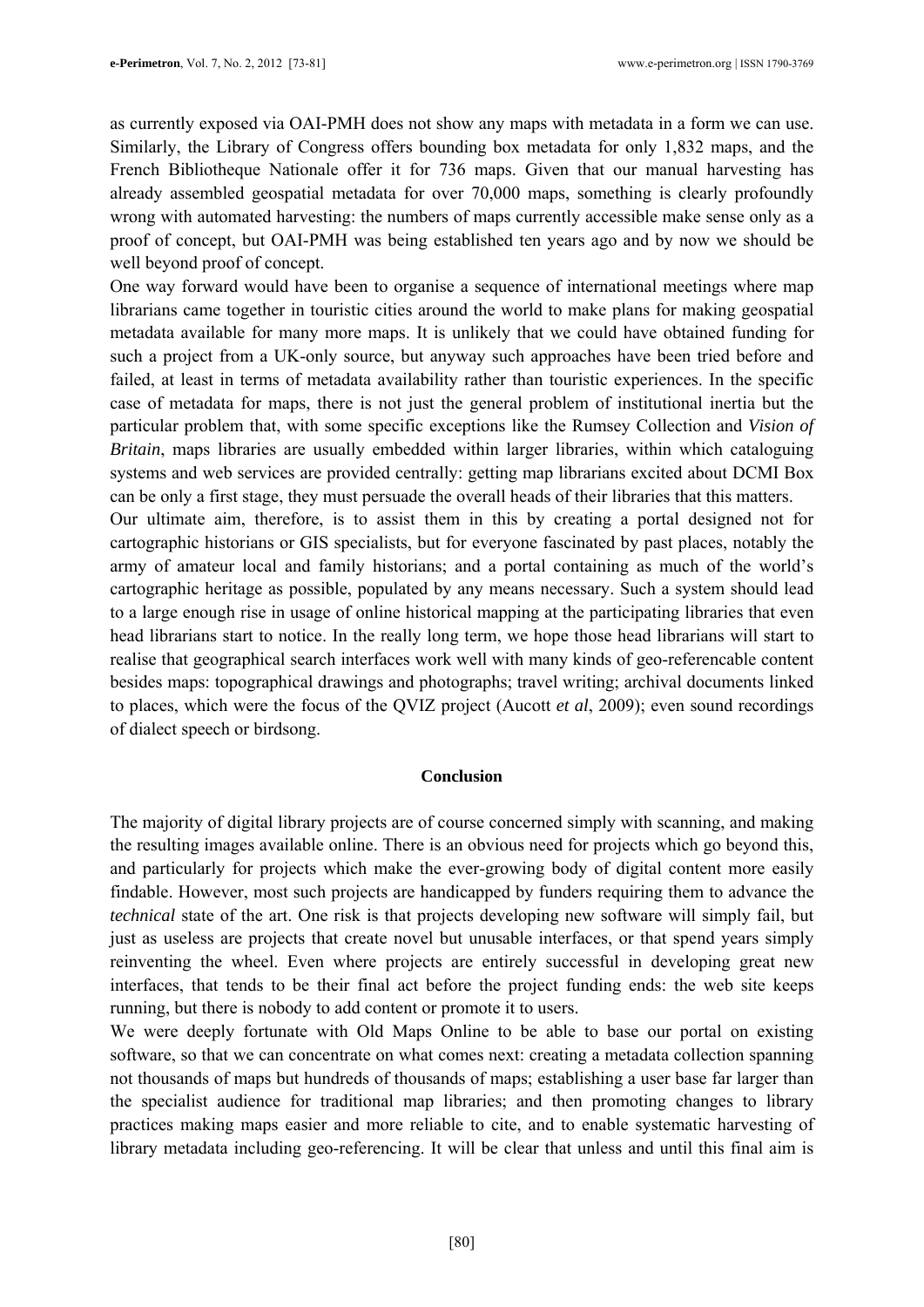as currently exposed via OAI-PMH does not show any maps with metadata in a form we can use. Similarly, the Library of Congress offers bounding box metadata for only 1,832 maps, and the French Bibliotheque Nationale offer it for 736 maps. Given that our manual harvesting has already assembled geospatial metadata for over 70,000 maps, something is clearly profoundly wrong with automated harvesting: the numbers of maps currently accessible make sense only as a proof of concept, but OAI-PMH was being established ten years ago and by now we should be well beyond proof of concept.

One way forward would have been to organise a sequence of international meetings where map librarians came together in touristic cities around the world to make plans for making geospatial metadata available for many more maps. It is unlikely that we could have obtained funding for such a project from a UK-only source, but anyway such approaches have been tried before and failed, at least in terms of metadata availability rather than touristic experiences. In the specific case of metadata for maps, there is not just the general problem of institutional inertia but the particular problem that, with some specific exceptions like the Rumsey Collection and *Vision of Britain*, maps libraries are usually embedded within larger libraries, within which cataloguing systems and web services are provided centrally: getting map librarians excited about DCMI Box can be only a first stage, they must persuade the overall heads of their libraries that this matters.

Our ultimate aim, therefore, is to assist them in this by creating a portal designed not for cartographic historians or GIS specialists, but for everyone fascinated by past places, notably the army of amateur local and family historians; and a portal containing as much of the world's cartographic heritage as possible, populated by any means necessary. Such a system should lead to a large enough rise in usage of online historical mapping at the participating libraries that even head librarians start to notice. In the really long term, we hope those head librarians will start to realise that geographical search interfaces work well with many kinds of geo-referencable content besides maps: topographical drawings and photographs; travel writing; archival documents linked to places, which were the focus of the QVIZ project (Aucott *et al*, 2009); even sound recordings of dialect speech or birdsong.

### **Conclusion**

The majority of digital library projects are of course concerned simply with scanning, and making the resulting images available online. There is an obvious need for projects which go beyond this, and particularly for projects which make the ever-growing body of digital content more easily findable. However, most such projects are handicapped by funders requiring them to advance the *technical* state of the art. One risk is that projects developing new software will simply fail, but just as useless are projects that create novel but unusable interfaces, or that spend years simply reinventing the wheel. Even where projects are entirely successful in developing great new interfaces, that tends to be their final act before the project funding ends: the web site keeps running, but there is nobody to add content or promote it to users.

We were deeply fortunate with Old Maps Online to be able to base our portal on existing software, so that we can concentrate on what comes next: creating a metadata collection spanning not thousands of maps but hundreds of thousands of maps; establishing a user base far larger than the specialist audience for traditional map libraries; and then promoting changes to library practices making maps easier and more reliable to cite, and to enable systematic harvesting of library metadata including geo-referencing. It will be clear that unless and until this final aim is